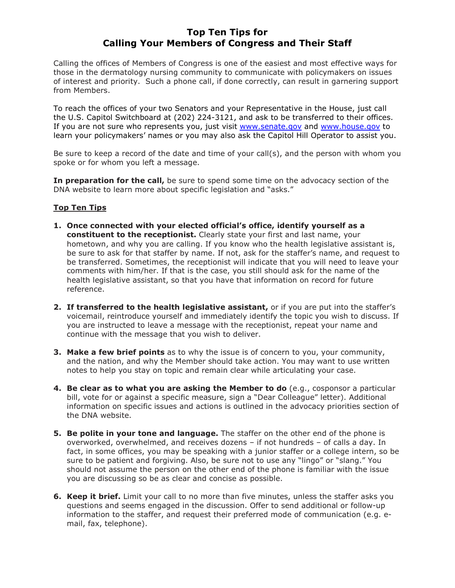## Top Ten Tips for Calling Your Members of Congress and Their Staff

Calling the offices of Members of Congress is one of the easiest and most effective ways for those in the dermatology nursing community to communicate with policymakers on issues of interest and priority. Such a phone call, if done correctly, can result in garnering support from Members.

To reach the offices of your two Senators and your Representative in the House, just call the U.S. Capitol Switchboard at (202) 224-3121, and ask to be transferred to their offices. If you are not sure who represents you, just visit www.senate.gov and www.house.gov to learn your policymakers' names or you may also ask the Capitol Hill Operator to assist you.

Be sure to keep a record of the date and time of your call(s), and the person with whom you spoke or for whom you left a message.

In preparation for the call, be sure to spend some time on the advocacy section of the DNA website to learn more about specific legislation and "asks."

## **Top Ten Tips**

- 1. Once connected with your elected official's office, identify yourself as a constituent to the receptionist. Clearly state your first and last name, your hometown, and why you are calling. If you know who the health legislative assistant is, be sure to ask for that staffer by name. If not, ask for the staffer's name, and request to be transferred. Sometimes, the receptionist will indicate that you will need to leave your comments with him/her. If that is the case, you still should ask for the name of the health legislative assistant, so that you have that information on record for future reference.
- 2. If transferred to the health legislative assistant, or if you are put into the staffer's voicemail, reintroduce yourself and immediately identify the topic you wish to discuss. If you are instructed to leave a message with the receptionist, repeat your name and continue with the message that you wish to deliver.
- **3. Make a few brief points** as to why the issue is of concern to you, your community, and the nation, and why the Member should take action. You may want to use written notes to help you stay on topic and remain clear while articulating your case.
- 4. Be clear as to what you are asking the Member to do (e.g., cosponsor a particular bill, vote for or against a specific measure, sign a "Dear Colleague" letter). Additional information on specific issues and actions is outlined in the advocacy priorities section of the DNA website.
- **5. Be polite in your tone and language.** The staffer on the other end of the phone is overworked, overwhelmed, and receives dozens – if not hundreds – of calls a day. In fact, in some offices, you may be speaking with a junior staffer or a college intern, so be sure to be patient and forgiving. Also, be sure not to use any "lingo" or "slang." You should not assume the person on the other end of the phone is familiar with the issue you are discussing so be as clear and concise as possible.
- **6. Keep it brief.** Limit your call to no more than five minutes, unless the staffer asks you questions and seems engaged in the discussion. Offer to send additional or follow-up information to the staffer, and request their preferred mode of communication (e.g. email, fax, telephone).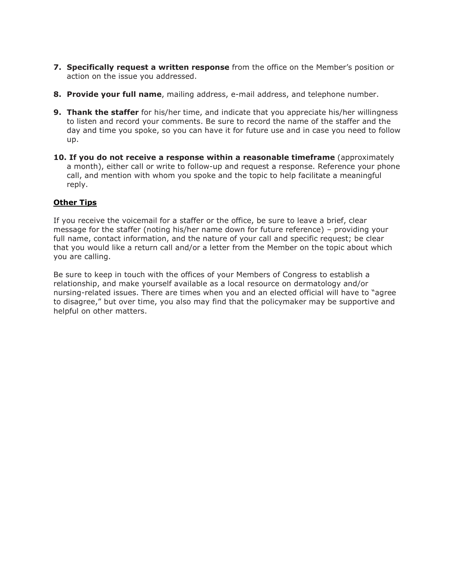- **7. Specifically request a written response** from the office on the Member's position or action on the issue you addressed.
- 8. Provide your full name, mailing address, e-mail address, and telephone number.
- **9. Thank the staffer** for his/her time, and indicate that you appreciate his/her willingness to listen and record your comments. Be sure to record the name of the staffer and the day and time you spoke, so you can have it for future use and in case you need to follow up.
- 10. If you do not receive a response within a reasonable timeframe (approximately a month), either call or write to follow-up and request a response. Reference your phone call, and mention with whom you spoke and the topic to help facilitate a meaningful reply.

## **Other Tips**

If you receive the voicemail for a staffer or the office, be sure to leave a brief, clear message for the staffer (noting his/her name down for future reference) – providing your full name, contact information, and the nature of your call and specific request; be clear that you would like a return call and/or a letter from the Member on the topic about which you are calling.

Be sure to keep in touch with the offices of your Members of Congress to establish a relationship, and make yourself available as a local resource on dermatology and/or nursing-related issues. There are times when you and an elected official will have to "agree to disagree," but over time, you also may find that the policymaker may be supportive and helpful on other matters.